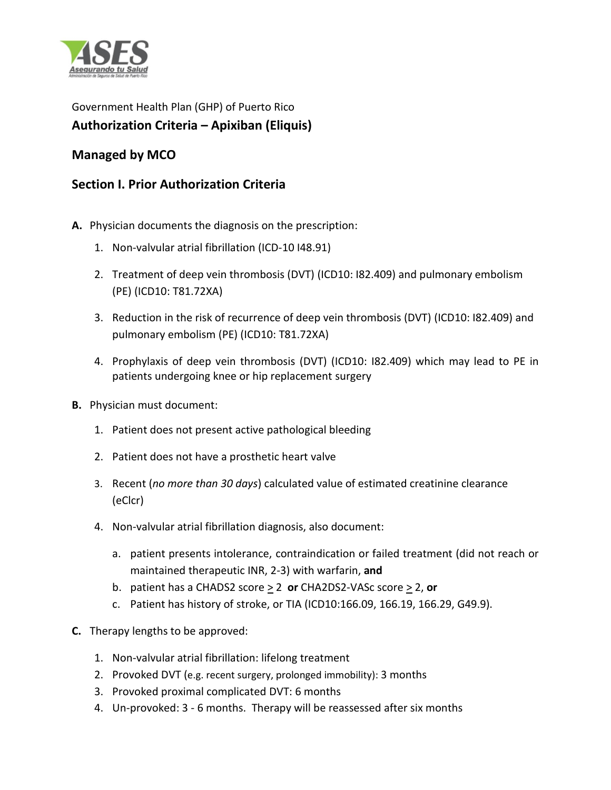

## Government Health Plan (GHP) of Puerto Rico **Authorization Criteria – Apixiban (Eliquis)**

#### **Managed by MCO**

### **Section I. Prior Authorization Criteria**

- **A.** Physician documents the diagnosis on the prescription:
	- 1. Non-valvular atrial fibrillation (ICD-10 I48.91)
	- 2. Treatment of deep vein thrombosis (DVT) (ICD10: I82.409) and pulmonary embolism (PE) (ICD10: T81.72XA)
	- 3. Reduction in the risk of recurrence of deep vein thrombosis (DVT) (ICD10: I82.409) and pulmonary embolism (PE) (ICD10: T81.72XA)
	- 4. Prophylaxis of deep vein thrombosis (DVT) (ICD10: I82.409) which may lead to PE in patients undergoing knee or hip replacement surgery
- **B.** Physician must document:
	- 1. Patient does not present active pathological bleeding
	- 2. Patient does not have a prosthetic heart valve
	- 3. Recent (*no more than 30 days*) calculated value of estimated creatinine clearance (eClcr)
	- 4. Non-valvular atrial fibrillation diagnosis, also document:
		- a. patient presents intolerance, contraindication or failed treatment (did not reach or maintained therapeutic INR, 2-3) with warfarin, **and**
		- b. patient has a CHADS2 score > 2 **or** CHA2DS2-VASc score > 2, **or**
		- c. Patient has history of stroke, or TIA (ICD10:166.09, 166.19, 166.29, G49.9).
- **C.** Therapy lengths to be approved:
	- 1. Non-valvular atrial fibrillation: lifelong treatment
	- 2. Provoked DVT (e.g. recent surgery, prolonged immobility): 3 months
	- 3. Provoked proximal complicated DVT: 6 months
	- 4. Un-provoked: 3 6 months. Therapy will be reassessed after six months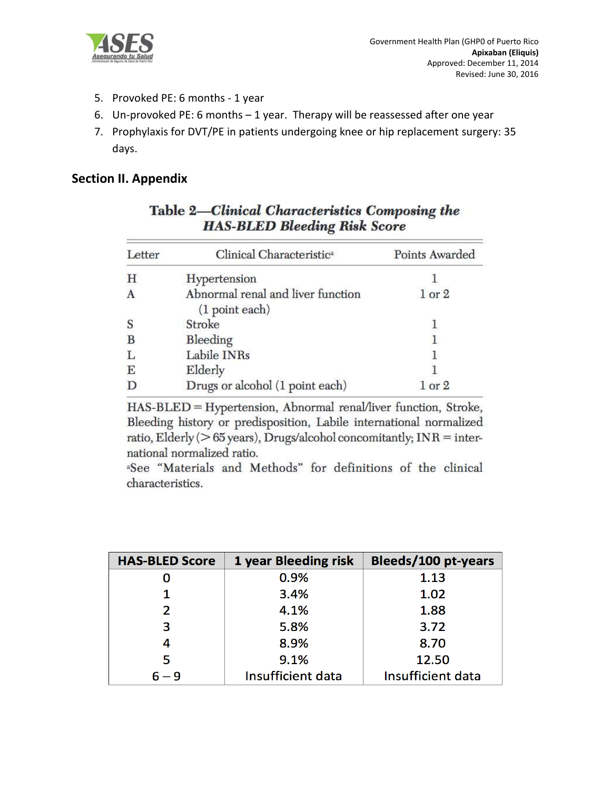

- 5. Provoked PE: 6 months 1 year
- 6. Un-provoked PE: 6 months 1 year. Therapy will be reassessed after one year
- 7. Prophylaxis for DVT/PE in patients undergoing knee or hip replacement surgery: 35 days.

#### **Section II. Appendix**

| Letter | Clinical Characteristic <sup>a</sup>                  | Points Awarded |
|--------|-------------------------------------------------------|----------------|
| H      | Hypertension                                          |                |
| A      | Abnormal renal and liver function<br>$(1$ point each) | $1$ or $2$     |
| S      | Stroke                                                |                |
| B      | Bleeding                                              |                |
| L      | Labile INRs                                           |                |
| E      | Elderly                                               |                |
| D      | Drugs or alcohol (1 point each)                       | or $2$         |

#### Table 2-Clinical Characteristics Composing the **HAS-BLED Bleeding Risk Score**

HAS-BLED = Hypertension, Abnormal renal/liver function, Stroke, Bleeding history or predisposition, Labile international normalized ratio, Elderly ( $>65$  years), Drugs/alcohol concomitantly; INR = international normalized ratio.

<sup>a</sup>See "Materials and Methods" for definitions of the clinical characteristics.

| <b>HAS-BLED Score</b> | 1 year Bleeding risk     | <b>Bleeds/100 pt-years</b> |
|-----------------------|--------------------------|----------------------------|
|                       | 0.9%                     | 1.13                       |
|                       | 3.4%                     | 1.02                       |
| 2                     | 4.1%                     | 1.88                       |
| 3                     | 5.8%                     | 3.72                       |
| 4                     | 8.9%                     | 8.70                       |
| 5                     | 9.1%                     | 12.50                      |
| $6 - 9$               | <b>Insufficient data</b> | Insufficient data          |